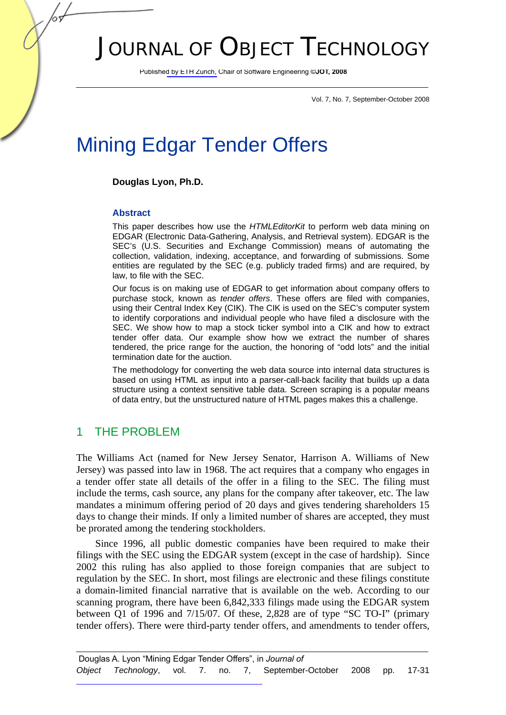# JOURNAL OF OBJECT TECHNOLOGY

Published by ETH Zurich, Chair of Software Engineering ©**JOT, 2008**

Vol. 7, No. 7, September-October 2008

# Mining Edgar Tender Offers

#### **Douglas Lyon, Ph.D.**

#### **Abstract**

This paper describes how use the *HTMLEditorKit* to perform web data mining on EDGAR (Electronic Data-Gathering, Analysis, and Retrieval system). EDGAR is the SEC's (U.S. Securities and Exchange Commission) means of automating the collection, validation, indexing, acceptance, and forwarding of submissions. Some entities are regulated by the SEC (e.g. publicly traded firms) and are required, by law, to file with the SEC.

Our focus is on making use of EDGAR to get information about company offers to purchase stock, known as *tender offers*. These offers are filed with companies, using their Central Index Key (CIK). The CIK is used on the SEC's computer system to identify corporations and individual people who have filed a disclosure with the SEC. We show how to map a stock ticker symbol into a CIK and how to extract tender offer data. Our example show how we extract the number of shares tendered, the price range for the auction, the honoring of "odd lots" and the initial termination date for the auction.

The methodology for converting the web data source into internal data structures is based on using HTML as input into a parser-call-back facility that builds up a data structure using a context sensitive table data. Screen scraping is a popular means of data entry, but the unstructured nature of HTML pages makes this a challenge.

### 1 THE PROBLEM

The Williams Act (named for New Jersey Senator, Harrison A. Williams of New Jersey) was passed into law in 1968. The act requires that a company who engages in a tender offer state all details of the offer in a filing to the SEC. The filing must include the terms, cash source, any plans for the company after takeover, etc. The law mandates a minimum offering period of 20 days and gives tendering shareholders 15 days to change their minds. If only a limited number of shares are accepted, they must be prorated among the tendering stockholders.

Since 1996, all public domestic companies have been required to make their filings with the SEC using the EDGAR system (except in the case of hardship). Since 2002 this ruling has also applied to those foreign companies that are subject to regulation by the SEC. In short, most filings are electronic and these filings constitute a domain-limited financial narrative that is available on the web. According to our scanning program, there have been 6,842,333 filings made using the EDGAR system between Q1 of 1996 and 7/15/07. Of these, 2,828 are of type "SC TO-I" (primary tender offers). There were third-party tender offers, and amendments to tender offers,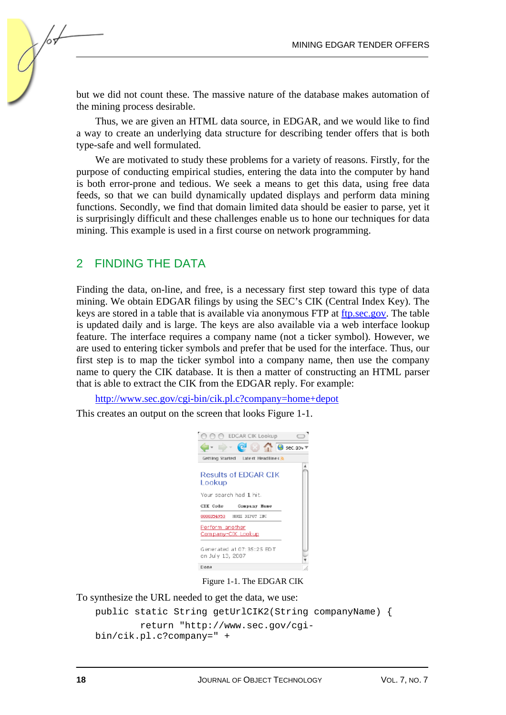but we did not count these. The massive nature of the database makes automation of the mining process desirable.

Thus, we are given an HTML data source, in EDGAR, and we would like to find a way to create an underlying data structure for describing tender offers that is both type-safe and well formulated.

We are motivated to study these problems for a variety of reasons. Firstly, for the purpose of conducting empirical studies, entering the data into the computer by hand is both error-prone and tedious. We seek a means to get this data, using free data feeds, so that we can build dynamically updated displays and perform data mining functions. Secondly, we find that domain limited data should be easier to parse, yet it is surprisingly difficult and these challenges enable us to hone our techniques for data mining. This example is used in a first course on network programming.

#### 2 FINDING THE DATA

Finding the data, on-line, and free, is a necessary first step toward this type of data mining. We obtain EDGAR filings by using the SEC's CIK (Central Index Key). The keys are stored in a table that is available via anonymous FTP at ftp.sec.gov. The table is updated daily and is large. The keys are also available via a web interface lookup feature. The interface requires a company name (not a ticker symbol). However, we are used to entering ticker symbols and prefer that be used for the interface. Thus, our first step is to map the ticker symbol into a company name, then use the company name to query the CIK database. It is then a matter of constructing an HTML parser that is able to extract the CIK from the EDGAR reply. For example:

http://www.sec.gov/cgi-bin/cik.pl.c?company=home+depot

This creates an output on the screen that looks Figure 1-1.



Figure 1-1. The EDGAR CIK

To synthesize the URL needed to get the data, we use:

```
public static String getUrlCIK2(String companyName) { 
         return "http://www.sec.gov/cgi-
bin/cik.pl.c?company=" +
```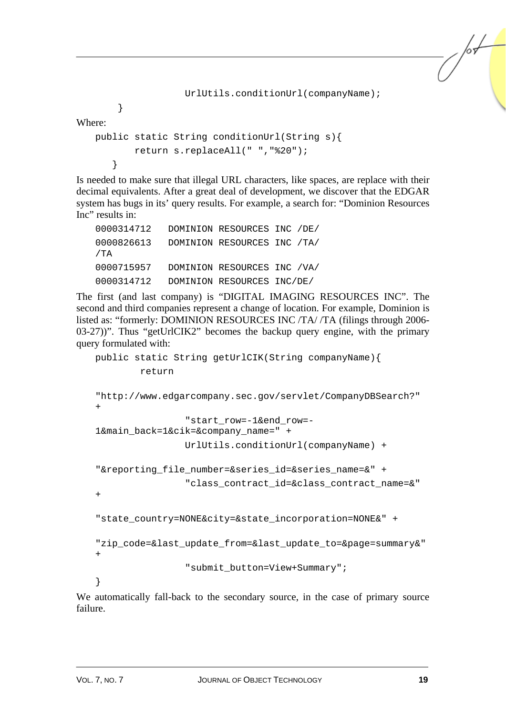```
 UrlUtils.conditionUrl(companyName);
```
Where:

}

```
public static String conditionUrl(String s){ 
        return s.replaceAll(" ","%20"); 
    }
```
Is needed to make sure that illegal URL characters, like spaces, are replace with their decimal equivalents. After a great deal of development, we discover that the EDGAR system has bugs in its' query results. For example, a search for: "Dominion Resources Inc" results in:

| 0000314712        | DOMINION RESOURCES INC /DE/ |  |
|-------------------|-----------------------------|--|
| 0000826613<br>/TA | DOMINION RESOURCES INC /TA/ |  |
| 0000715957        | DOMINION RESOURCES INC /VA/ |  |
| 0000314712        | DOMINION RESOURCES INC/DE/  |  |

The first (and last company) is "DIGITAL IMAGING RESOURCES INC". The second and third companies represent a change of location. For example, Dominion is listed as: "formerly: DOMINION RESOURCES INC /TA/ /TA (filings through 2006- 03-27))". Thus "getUrlCIK2" becomes the backup query engine, with the primary query formulated with:

```
public static String getUrlCIK(String companyName){ 
         return 
"http://www.edgarcompany.sec.gov/servlet/CompanyDBSearch?" 
+ 
                  "start_row=-1&end_row=-
1&main_back=1&cik=&company_name=" + 
                 UrlUtils.conditionUrl(companyName) + 
"&reporting_file_number=&series_id=&series_name=&" + 
                  "class_contract_id=&class_contract_name=&" 
+"state_country=NONE&city=&state_incorporation=NONE&" +
"zip_code=&last_update_from=&last_update_to=&page=summary&" 
+ 
                  "submit_button=View+Summary"; 
}
```
We automatically fall-back to the secondary source, in the case of primary source failure.

/sŁ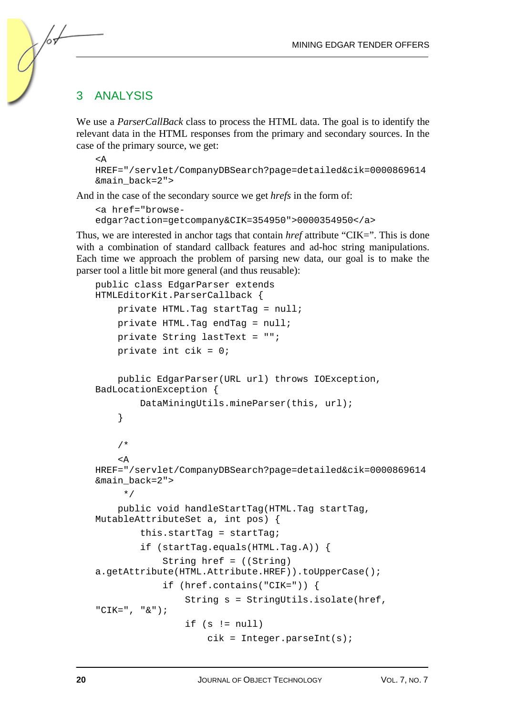#### 3 ANALYSIS

We use a *ParserCallBack* class to process the HTML data. The goal is to identify the relevant data in the HTML responses from the primary and secondary sources. In the case of the primary source, we get:

```
<AHREF="/servlet/CompanyDBSearch?page=detailed&cik=0000869614
&main_back=2">
```
And in the case of the secondary source we get *hrefs* in the form of:

```
<a href="browse-
edgar?action=getcompany&CIK=354950">0000354950</a>
```
Thus, we are interested in anchor tags that contain *href* attribute "CIK=". This is done with a combination of standard callback features and ad-hoc string manipulations. Each time we approach the problem of parsing new data, our goal is to make the parser tool a little bit more general (and thus reusable):

```
public class EdgarParser extends 
HTMLEditorKit.ParserCallback { 
     private HTML.Tag startTag = null; 
     private HTML.Tag endTag = null; 
     private String lastText = ""; 
    private int cik = 0;
     public EdgarParser(URL url) throws IOException, 
BadLocationException { 
         DataMiningUtils.mineParser(this, url); 
     } 
     /* 
    \leq \DeltaHREF="/servlet/CompanyDBSearch?page=detailed&cik=0000869614
&main_back=2"> 
      */ 
     public void handleStartTag(HTML.Tag startTag, 
MutableAttributeSet a, int pos) { 
         this.startTag = startTag; 
         if (startTag.equals(HTML.Tag.A)) { 
              String href = ((String) 
a.getAttribute(HTML.Attribute.HREF)).toUpperCase(); 
              if (href.contains("CIK=")) { 
                  String s = StringUtils.isolate(href, 
"CIK=", "&"); 
                 if (s := null) cik = Integer.parseInt(s);
```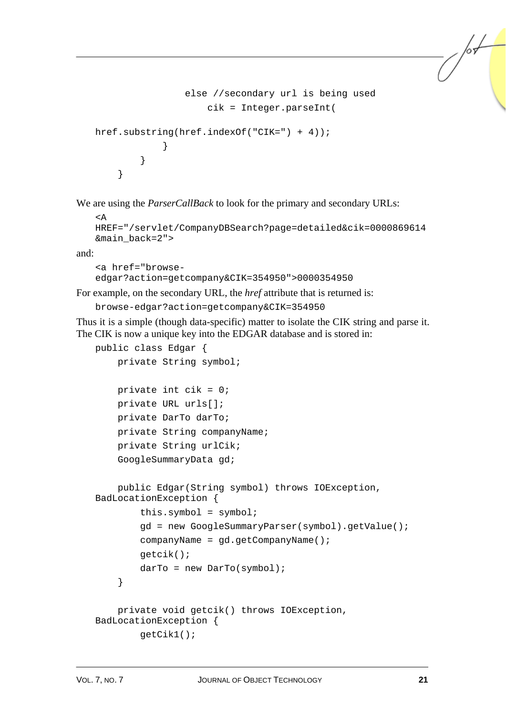```
 else //secondary url is being used 
                    cik = Integer.parseInt( 
href.substring(href.indexOf("CIK=") + 4)); 
 } 
 } 
    }
```
We are using the *ParserCallBack* to look for the primary and secondary URLs:

```
<A 
HREF="/servlet/CompanyDBSearch?page=detailed&cik=0000869614
&main_back=2">
```
and:

```
<a href="browse-
edgar?action=getcompany&CIK=354950">0000354950
```
For example, on the secondary URL, the *href* attribute that is returned is:

```
browse-edgar?action=getcompany&CIK=354950
```
Thus it is a simple (though data-specific) matter to isolate the CIK string and parse it. The CIK is now a unique key into the EDGAR database and is stored in:

```
public class Edgar { 
     private String symbol; 
    private int cik = 0;
     private URL urls[]; 
     private DarTo darTo; 
     private String companyName; 
     private String urlCik; 
     GoogleSummaryData gd; 
     public Edgar(String symbol) throws IOException, 
BadLocationException { 
        this.symbol = symbol{i} gd = new GoogleSummaryParser(symbol).getValue(); 
         companyName = gd.getCompanyName(); 
         getcik(); 
        darr = new DarTo(symbol);
     } 
     private void getcik() throws IOException, 
BadLocationException { 
         getCik1();
```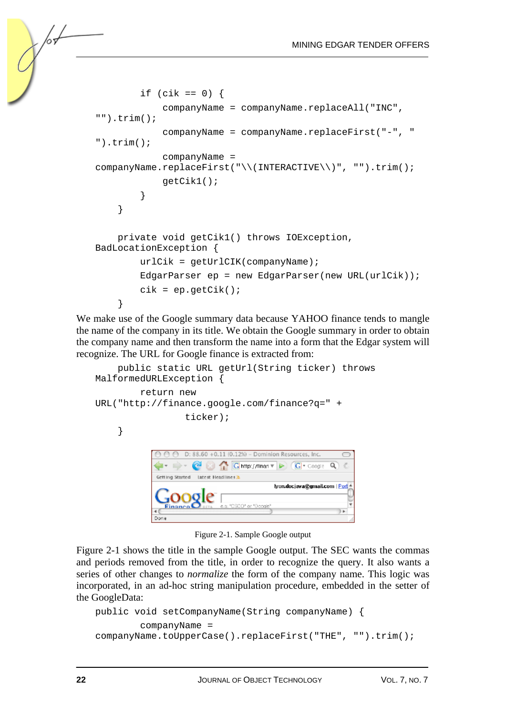```
if (cik == 0) {
             companyName = companyName.replaceAll("INC", 
"").trim(); 
             companyName = companyName.replaceFirst("-", " 
").trim(); 
             companyName = 
companyName.replaceFirst("\\(INTERACTIVE\\)", "").trim();
             getCik1(); 
 } 
     } 
     private void getCik1() throws IOException, 
BadLocationException { 
         urlCik = getUrlCIK(companyName); 
         EdgarParser ep = new EdgarParser(new URL(urlCik)); 
        cik = ep.getCik();
     }
```
We make use of the Google summary data because YAHOO finance tends to mangle the name of the company in its title. We obtain the Google summary in order to obtain the company name and then transform the name into a form that the Edgar system will recognize. The URL for Google finance is extracted from:

```
 public static URL getUrl(String ticker) throws 
MalformedURLException { 
          return new 
URL("http://finance.google.com/finance?q=" + 
                    ticker); 
      } 
                   D: 88.60 +0.11 (0.12%) - Dominion Resources, Inc.
               \OmegaGetting Started Latest Headlines 3
                                       tyon.docjava@gmail.com | Port
```
Dor

Figure 2-1. Sample Google output

Figure 2-1 shows the title in the sample Google output. The SEC wants the commas and periods removed from the title, in order to recognize the query. It also wants a series of other changes to *normalize* the form of the company name. This logic was incorporated, in an ad-hoc string manipulation procedure, embedded in the setter of the GoogleData:

```
public void setCompanyName(String companyName) { 
         companyName = 
companyName.toUpperCase().replaceFirst("THE", "").trim();
```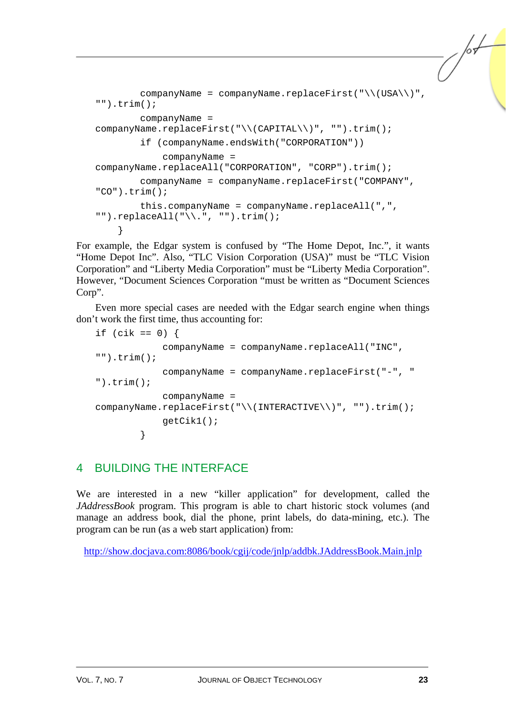```
companyName = companyName.replaceFirst("\\(USA\\)",
"").trim(); 
         companyName = 
companyName.replaceFirst("\\(CAPITAL\\)", "").trim(); 
         if (companyName.endsWith("CORPORATION")) 
             companyName = 
companyName.replaceAll("CORPORATION", "CORP").trim();
        companyName = companyName.replaceFirst("COMPANY",
"CO").trim(); 
         this.companyName = companyName.replaceAll(",", 
"") . replaceAll("\\'.". "") .trim();
     }
```
For example, the Edgar system is confused by "The Home Depot, Inc.", it wants "Home Depot Inc". Also, "TLC Vision Corporation (USA)" must be "TLC Vision Corporation" and "Liberty Media Corporation" must be "Liberty Media Corporation". However, "Document Sciences Corporation "must be written as "Document Sciences Corp".

Even more special cases are needed with the Edgar search engine when things don't work the first time, thus accounting for:

```
if (cik == 0) {
             companyName = companyName.replaceAll("INC",
" ").trim();
             companyName = companyName.replaceFirst("-", " 
").trim();
             companyName = 
companyName.replaceFirst("\\(INTERACTIVE\\)", "").trim(); 
             getCik1(); 
         }
```
## 4 BUILDING THE INTERFACE

We are interested in a new "killer application" for development, called the *JAddressBook* program. This program is able to chart historic stock volumes (and manage an address book, dial the phone, print labels, do data-mining, etc.). The program can be run (as a web start application) from:

http://show.docjava.com:8086/book/cgij/code/jnlp/addbk.JAddressBook.Main.jnlp

/sŁ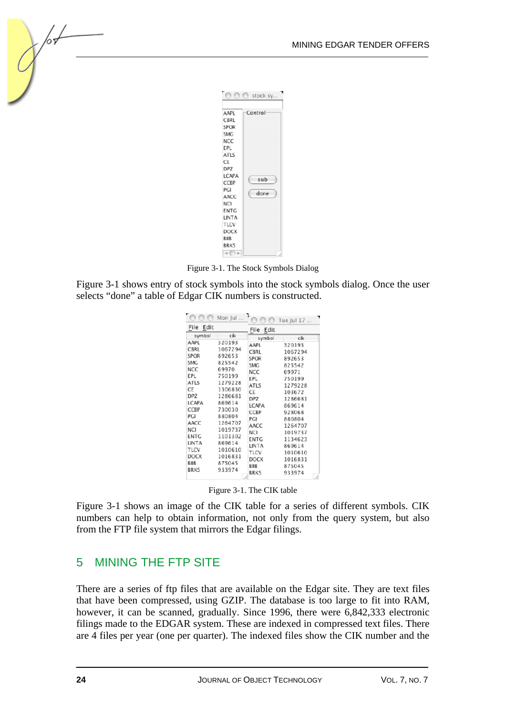| AAPL        | Control |
|-------------|---------|
| CBRL        |         |
| <b>SPOR</b> |         |
| SMG         |         |
| NCC         |         |
| EPL         |         |
| ATLS        |         |
| CE          |         |
| DP7         |         |
| LCAPA       | sub     |
| CCBP        |         |
| PGI         | done    |
| AACC        |         |
| NCI         |         |
| ENTG        |         |
| LINTA       |         |
| TLCV        |         |
| DOCX        |         |
| BIIB        |         |
| <b>BRKS</b> |         |
|             |         |

Figure 3-1. The Stock Symbols Dialog

Figure 3-1 shows entry of stock symbols into the stock symbols dialog. Once the user selects "done" a table of Edgar CIK numbers is constructed.

|                                                                                                                        | Mon Jul                                                                                                                                   |                                                                                                                                | Tue Jul 17                                                                                                                               |
|------------------------------------------------------------------------------------------------------------------------|-------------------------------------------------------------------------------------------------------------------------------------------|--------------------------------------------------------------------------------------------------------------------------------|------------------------------------------------------------------------------------------------------------------------------------------|
| Edit<br>File                                                                                                           |                                                                                                                                           | Edit<br>File                                                                                                                   |                                                                                                                                          |
| symbol<br>AAPL<br>CBRL<br>SPOR<br><b>SMG</b><br>NCC<br>EPL<br><b>ATLS</b><br>CE<br>DPZ<br>LCAPA<br>CCBP<br>PGI<br>AACC | cik<br>320193<br>1067294<br>892653<br>825542<br>69970<br>750199<br>1279228<br>1306830<br>1286681<br>869614<br>730030<br>880804<br>1264707 | symbol<br>AAPL<br>CBRL<br><b>SPOR</b><br><b>SMG</b><br>NCC<br>EPL.<br>ATLS<br>CE<br><b>DPZ</b><br>LCAPA<br>CCBP<br>PGI<br>AACC | cik<br>320193<br>1067294<br>892653<br>825542<br>69971<br>750199<br>1279228<br>103672<br>1286681<br>869614<br>928068<br>880804<br>1264707 |
| NCI<br><b>ENTG</b><br>LINTA<br>TLCV<br>DOCX<br><b>BIIB</b><br><b>BRKS</b>                                              | 1019737<br>1101302<br>869614<br>1010610<br>1016831<br>875045<br>933974                                                                    | NCI<br>ENTG<br>LINTA<br>TLCV<br>DOCX<br>BIIB<br>BRKS                                                                           | 1019737<br>1134623<br>869614<br>1010610<br>1016831<br>875045<br>933974<br>k                                                              |

Figure 3-1. The CIK table

Figure 3-1 shows an image of the CIK table for a series of different symbols. CIK numbers can help to obtain information, not only from the query system, but also from the FTP file system that mirrors the Edgar filings.

## 5 MINING THE FTP SITE

There are a series of ftp files that are available on the Edgar site. They are text files that have been compressed, using GZIP. The database is too large to fit into RAM, however, it can be scanned, gradually. Since 1996, there were 6,842,333 electronic filings made to the EDGAR system. These are indexed in compressed text files. There are 4 files per year (one per quarter). The indexed files show the CIK number and the

/0ъ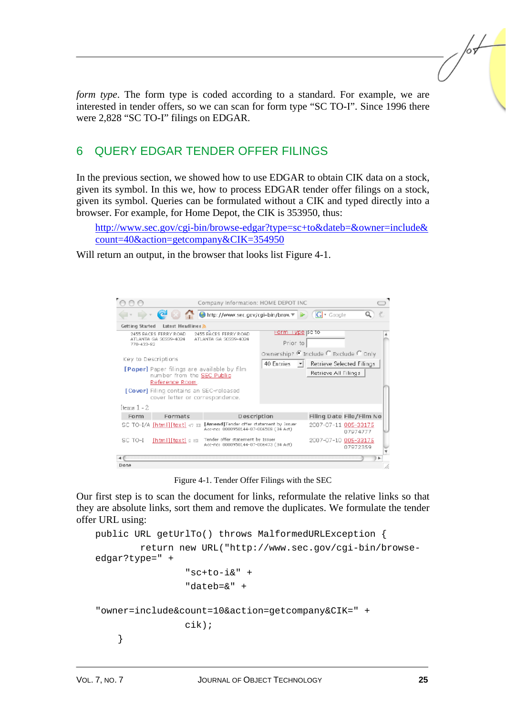*form type*. The form type is coded according to a standard. For example, we are interested in tender offers, so we can scan for form type "SC TO-I". Since 1996 there were 2,828 "SC TO-I" filings on EDGAR.

## 6 QUERY EDGAR TENDER OFFER FILINGS

In the previous section, we showed how to use EDGAR to obtain CIK data on a stock, given its symbol. In this we, how to process EDGAR tender offer filings on a stock, given its symbol. Queries can be formulated without a CIK and typed directly into a browser. For example, for Home Depot, the CIK is 353950, thus:

http://www.sec.gov/cgi-bin/browse-edgar?type=sc+to&dateb=&owner=include& count=40&action=getcompany&CIK=354950

Will return an output, in the browser that looks list Figure 4-1.

|                 |                                                                                                     | Company Information: HOME DEPOT INC                                              |                                                           |                                  |                          |  |
|-----------------|-----------------------------------------------------------------------------------------------------|----------------------------------------------------------------------------------|-----------------------------------------------------------|----------------------------------|--------------------------|--|
|                 |                                                                                                     | C & C + Google                                                                   |                                                           |                                  |                          |  |
| Getting Started | Latest Headlines R                                                                                  |                                                                                  |                                                           |                                  |                          |  |
| 770-433-82      | 2455 PACES FERRY ROAD.<br>ATLANTA GA 30339-4024                                                     | 2455 BACES FERRY ROAD<br>ATLANTA GA 30339-4024                                   | Harm II уре јас то<br>Prior to                            |                                  |                          |  |
|                 | Key to Descriptions                                                                                 |                                                                                  | Ownership? ® Include © Exclude © Only.<br>40 Entries - +1 | <b>Retrieve Selected Filings</b> |                          |  |
|                 | <b>[Paper]</b> Paper filings are available by film<br>number from the SEC Public<br>Reference Room. |                                                                                  |                                                           | Retrieve All Filings             |                          |  |
|                 | [Cover] Filing contains an SEC-released<br>cover letter or correspondence.                          |                                                                                  |                                                           |                                  |                          |  |
| Items 1 - 2     |                                                                                                     |                                                                                  |                                                           |                                  |                          |  |
| Form            | Formats                                                                                             | Description                                                                      |                                                           |                                  | Filing Date File/Film No |  |
|                 | SC TO-I/A [html][text] 47 mm                                                                        | [Amend]Tender offer statement by Issuer<br>Acc-no: 0000950144-07-006508 (34 Act) |                                                           | 2007-07-11 005-33175             | 07974777                 |  |
| SC TO-I         | $[htm1][task]$ a $ta$                                                                               | Tender offer statement by Issuer<br>Acc-no: 0000950144-07-006473 (34 Act)        |                                                           | 2007-07-10 005-33175             | 07972359                 |  |
|                 |                                                                                                     |                                                                                  |                                                           |                                  |                          |  |
| Done            |                                                                                                     |                                                                                  |                                                           |                                  |                          |  |

Figure 4-1. Tender Offer Filings with the SEC

Our first step is to scan the document for links, reformulate the relative links so that they are absolute links, sort them and remove the duplicates. We formulate the tender offer URL using:

```
public URL getUrlTo() throws MalformedURLException { 
         return new URL("http://www.sec.gov/cgi-bin/browse-
edgar?type=" + 
                 "set-to-i&" + "dateb=&" + 
"owner=include&count=10&action=getcompany&CIK=" + 
                  cik); 
     }
```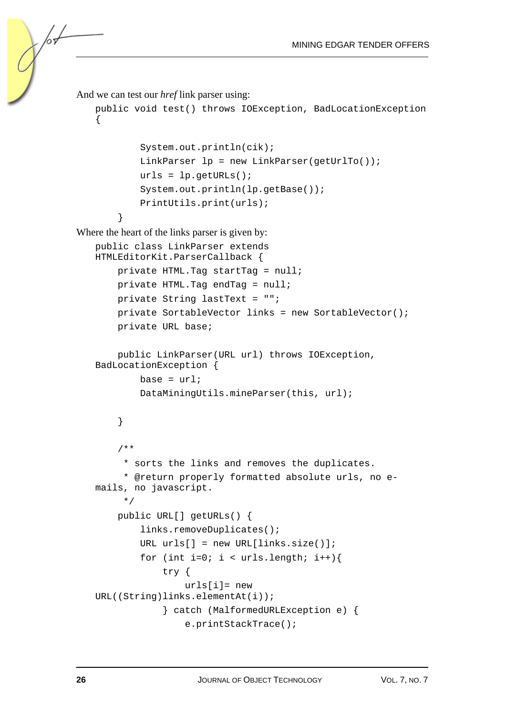```
And we can test our href link parser using: 
   public void test() throws IOException, BadLocationException 
   { 
             System.out.println(cik); 
            LinkParser lp = new LinkParser(getUrlTo());
            urls = lp.getURLs();
             System.out.println(lp.getBase()); 
             PrintUtils.print(urls); 
         } 
Where the heart of the links parser is given by: 
   public class LinkParser extends 
   HTMLEditorKit.ParserCallback { 
         private HTML.Tag startTag = null; 
         private HTML.Tag endTag = null; 
         private String lastText = ""; 
         private SortableVector links = new SortableVector(); 
        private URL base; 
        public LinkParser(URL url) throws IOException, 
   BadLocationException { 
            base = url;
             DataMiningUtils.mineParser(this, url); 
         } 
         /** 
          * sorts the links and removes the duplicates. 
          * @return properly formatted absolute urls, no e-
   mails, no javascript. 
          */ 
         public URL[] getURLs() { 
             links.removeDuplicates(); 
            URL urls[] = new URL[links.size()];for (int i=0; i < urls.length; i++){
                  try { 
                      urls[i]= new 
   URL((String)links.elementAt(i)); 
                  } catch (MalformedURLException e) { 
                      e.printStackTrace();
```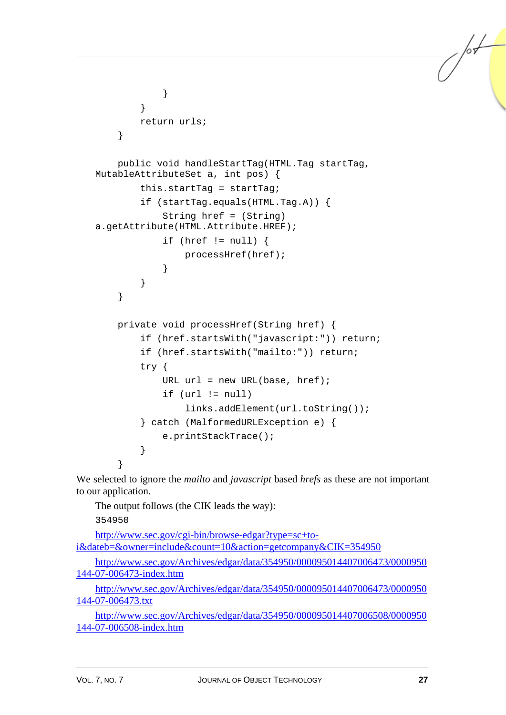```
 } 
 } 
         return urls; 
     } 
     public void handleStartTag(HTML.Tag startTag, 
MutableAttributeSet a, int pos) { 
         this.startTag = startTag; 
         if (startTag.equals(HTML.Tag.A)) { 
             String href = (String) 
a.getAttribute(HTML.Attribute.HREF); 
            if (href != null) {
                 processHref(href); 
 } 
 } 
     } 
    private void processHref(String href) { 
         if (href.startsWith("javascript:")) return; 
         if (href.startsWith("mailto:")) return; 
         try { 
            URL url = new URL(base, href); if (url != null) 
                 links.addElement(url.toString()); 
         } catch (MalformedURLException e) { 
             e.printStackTrace(); 
         } 
 }
```
We selected to ignore the *mailto* and *javascript* based *hrefs* as these are not important to our application.

The output follows (the CIK leads the way):

354950

http://www.sec.gov/cgi-bin/browse-edgar?type=sc+toi&dateb=&owner=include&count=10&action=getcompany&CIK=354950

http://www.sec.gov/Archives/edgar/data/354950/000095014407006473/0000950 144-07-006473-index.htm

http://www.sec.gov/Archives/edgar/data/354950/000095014407006473/0000950 144-07-006473.txt

http://www.sec.gov/Archives/edgar/data/354950/000095014407006508/0000950 144-07-006508-index.htm

/sŁ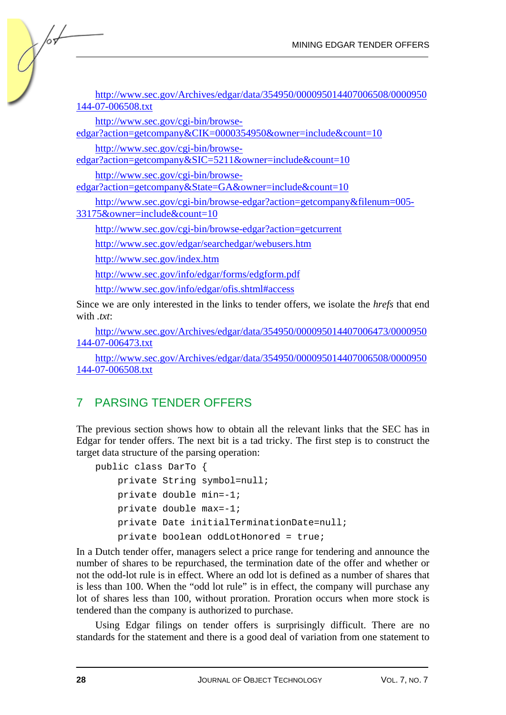| http://www.sec.gov/Archives/edgar/data/354950/000095014407006508/0000950<br>144-07-006508.txt       |
|-----------------------------------------------------------------------------------------------------|
| http://www.sec.gov/cgi-bin/browse-<br>edgar?action=getcompany&CIK=0000354950&owner=include&count=10 |
| http://www.sec.gov/cgi-bin/browse-<br>$edgar9 action–getcompany&SIC-5211&cdowner–include&count-10$  |

 $\sqrt{\frac{1}{2}}$ 

edgar?action=getcompany&SIC=5211&owner=include&count=10

http://www.sec.gov/cgi-bin/browseedgar?action=getcompany&State=GA&owner=include&count=10

http://www.sec.gov/cgi-bin/browse-edgar?action=getcompany&filenum=005- 33175&owner=include&count=10

http://www.sec.gov/cgi-bin/browse-edgar?action=getcurrent

http://www.sec.gov/edgar/searchedgar/webusers.htm

http://www.sec.gov/index.htm

http://www.sec.gov/info/edgar/forms/edgform.pdf

http://www.sec.gov/info/edgar/ofis.shtml#access

Since we are only interested in the links to tender offers, we isolate the *hrefs* that end with *.txt*:

http://www.sec.gov/Archives/edgar/data/354950/000095014407006473/0000950 144-07-006473.txt

http://www.sec.gov/Archives/edgar/data/354950/000095014407006508/0000950 144-07-006508.txt

## 7 PARSING TENDER OFFERS

The previous section shows how to obtain all the relevant links that the SEC has in Edgar for tender offers. The next bit is a tad tricky. The first step is to construct the target data structure of the parsing operation:

```
public class DarTo { 
     private String symbol=null; 
     private double min=-1; 
     private double max=-1; 
     private Date initialTerminationDate=null; 
     private boolean oddLotHonored = true;
```
In a Dutch tender offer, managers select a price range for tendering and announce the number of shares to be repurchased, the termination date of the offer and whether or not the odd-lot rule is in effect. Where an odd lot is defined as a number of shares that is less than 100. When the "odd lot rule" is in effect, the company will purchase any lot of shares less than 100, without proration. Proration occurs when more stock is tendered than the company is authorized to purchase.

Using Edgar filings on tender offers is surprisingly difficult. There are no standards for the statement and there is a good deal of variation from one statement to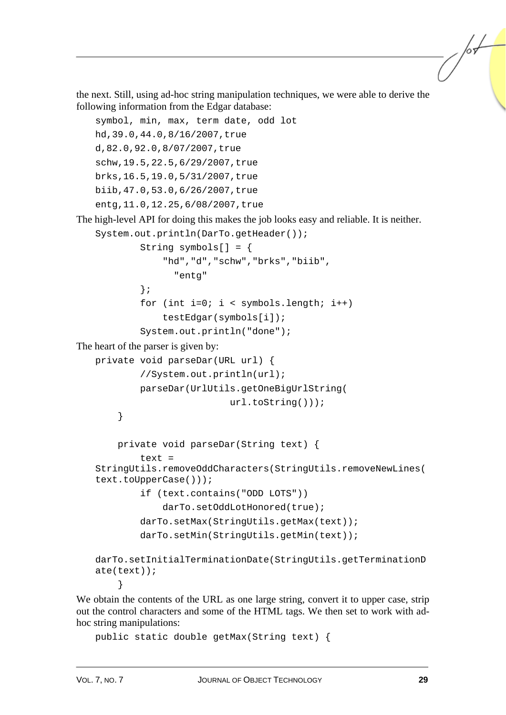the next. Still, using ad-hoc string manipulation techniques, we were able to derive the following information from the Edgar database:

```
symbol, min, max, term date, odd lot 
   hd,39.0,44.0,8/16/2007,true 
   d,82.0,92.0,8/07/2007,true 
   schw,19.5,22.5,6/29/2007,true 
   brks,16.5,19.0,5/31/2007,true 
   biib,47.0,53.0,6/26/2007,true 
   entg,11.0,12.25,6/08/2007,true 
The high-level API for doing this makes the job looks easy and reliable. It is neither. 
   System.out.println(DarTo.getHeader());
             String symbols[] = { 
                  "hd","d","schw","brks","biib", 
                    "entg" 
             }; 
            for (int i=0; i < symbols.length; i++) testEdgar(symbols[i]); 
             System.out.println("done"); 
The heart of the parser is given by: 
   private void parseDar(URL url) { 
             //System.out.println(url); 
             parseDar(UrlUtils.getOneBigUrlString( 
                               url.toString())); 
         } 
         private void parseDar(String text) { 
             text = 
   StringUtils.removeOddCharacters(StringUtils.removeNewLines(
   text.toUpperCase())); 
             if (text.contains("ODD LOTS")) 
                  darTo.setOddLotHonored(true); 
             darTo.setMax(StringUtils.getMax(text)); 
             darTo.setMin(StringUtils.getMin(text)); 
   darTo.setInitialTerminationDate(StringUtils.getTerminationD
   ate(text)); 
    }
```
We obtain the contents of the URL as one large string, convert it to upper case, strip out the control characters and some of the HTML tags. We then set to work with adhoc string manipulations:

```
public static double getMax(String text) {
```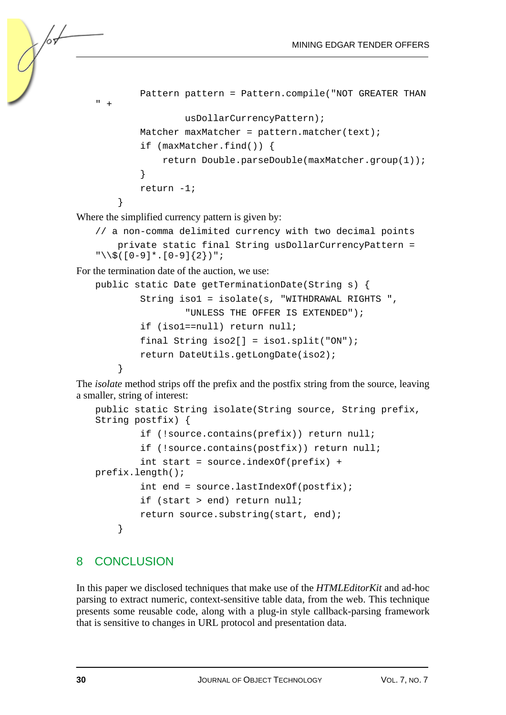```
 Pattern pattern = Pattern.compile("NOT GREATER THAN 
 ^+ usDollarCurrencyPattern); 
        Matcher maxMatcher = pattern.matcher(text);
         if (maxMatcher.find()) { 
             return Double.parseDouble(maxMatcher.group(1)); 
 } 
         return -1; 
     }
```
Where the simplified currency pattern is given by:

```
// a non-comma delimited currency with two decimal points 
     private static final String usDollarCurrencyPattern = 
"\setminus\([0-9]*.[0-9]{2})";
```
For the termination date of the auction, we use:

```
public static Date getTerminationDate(String s) { 
         String iso1 = isolate(s, "WITHDRAWAL RIGHTS ", 
                  "UNLESS THE OFFER IS EXTENDED"); 
         if (iso1==null) return null; 
         final String iso2[] = iso1.split("ON"); 
         return DateUtils.getLongDate(iso2); 
     }
```
The *isolate* method strips off the prefix and the postfix string from the source, leaving a smaller, string of interest:

```
public static String isolate(String source, String prefix, 
String postfix) { 
         if (!source.contains(prefix)) return null; 
         if (!source.contains(postfix)) return null; 
         int start = source.indexOf(prefix) + 
prefix.length(); 
         int end = source.lastIndexOf(postfix); 
         if (start > end) return null; 
        return source.substring(start, end);
     }
```
#### 8 CONCLUSION

In this paper we disclosed techniques that make use of the *HTMLEditorKit* and ad-hoc parsing to extract numeric, context-sensitive table data, from the web. This technique presents some reusable code, along with a plug-in style callback-parsing framework that is sensitive to changes in URL protocol and presentation data.